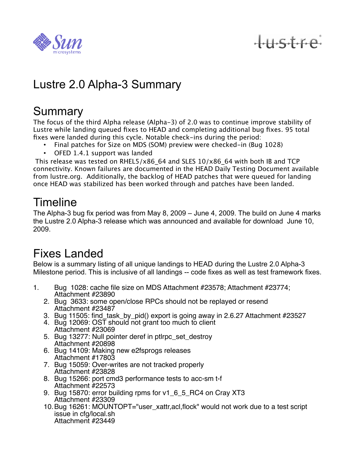

tustre

## Lustre 2.0 Alpha-3 Summary

#### **Summary**

The focus of the third Alpha release (Alpha-3) of 2.0 was to continue improve stability of Lustre while landing queued fixes to HEAD and completing additional bug fixes. 95 total fixes were landed during this cycle. Notable check-ins during the period:

- Final patches for Size on MDS (SOM) preview were checked-in (Bug 1028)
- OFED 1.4.1 support was landed

This release was tested on RHEL5/x86 64 and SLES  $10/x86$  64 with both IB and TCP connectivity. Known failures are documented in the HEAD Daily Testing Document available from lustre.org. Additionally, the backlog of HEAD patches that were queued for landing once HEAD was stabilized has been worked through and patches have been landed.

### Timeline

The Alpha-3 bug fix period was from May 8, 2009 – June 4, 2009. The build on June 4 marks the Lustre 2.0 Alpha-3 release which was announced and available for download June 10, 2009.

### Fixes Landed

Below is a summary listing of all unique landings to HEAD during the Lustre 2.0 Alpha-3 Milestone period. This is inclusive of all landings -- code fixes as well as test framework fixes.

- 1. Bug 1028: cache file size on MDS Attachment #23578; Attachment #23774; Attachment #23890
	- 2. Bug 3633: some open/close RPCs should not be replayed or resend Attachment #23487
	- 3. Bug 11505: find\_task\_by\_pid() export is going away in 2.6.27 Attachment #23527
	- 4. Bug 12069: OST should not grant too much to client Attachment #23069
	- 5. Bug 13277: Null pointer deref in ptlrpc\_set\_destroy Attachment #20898
	- 6. Bug 14109: Making new e2fsprogs releases Attachment #17803
	- 7. Bug 15059: Over-writes are not tracked properly Attachment #23828
	- 8. Bug 15266: port cmd3 performance tests to acc-sm t-f Attachment #22573
	- 9. Bug 15870: error building rpms for v1 6 5 RC4 on Cray XT3 Attachment #23309
	- 10.Bug 16261: MOUNTOPT="user\_xattr,acl,flock" would not work due to a test script issue in cfg/local.sh Attachment #23449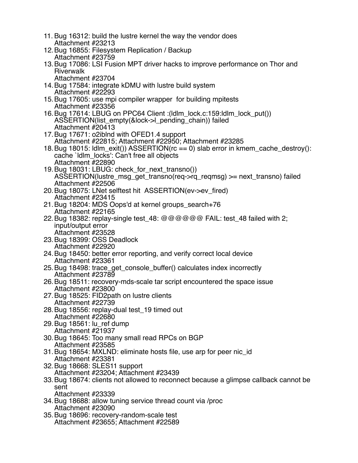| 11. Bug 16312: build the lustre kernel the way the vendor does                       |
|--------------------------------------------------------------------------------------|
| Attachment #23213                                                                    |
| 12. Bug 16855: Filesystem Replication / Backup                                       |
| Attachment #23759                                                                    |
| 13. Bug 17086: LSI Fusion MPT driver hacks to improve performance on Thor and        |
| Riverwalk                                                                            |
| Attachment #23704                                                                    |
| 14. Bug 17584: integrate kDMU with lustre build system                               |
| Attachment #22293                                                                    |
| 15. Bug 17605: use mpi compiler wrapper for building mpitests                        |
| Attachment #23356                                                                    |
| 16. Bug 17614: LBUG on PPC64 Client : (Idlm_lock.c: 159: Idlm_lock_put())            |
|                                                                                      |
| ASSERTION(list_empty(&lock->l_pending_chain)) failed                                 |
| Attachment #20413                                                                    |
| 17. Bug 17671: o2iblnd with OFED1.4 support                                          |
| Attachment #22815; Attachment #22950; Attachment #23285                              |
| 18. Bug 18015: Idlm_exit()) ASSERTION(rc == 0) slab error in kmem_cache_destroy():   |
| cache `Idlm_locks': Can't free all objects                                           |
| Attachment #22890                                                                    |
| 19. Bug 18031: LBUG: check_for_next_transno())                                       |
| ASSERTION(lustre_msg_get_transno(req->rq_reqmsg) >= next_transno) failed             |
| Attachment #22506                                                                    |
| 20. Bug 18075: LNet selftest hit ASSERTION(ev->ev_fired)                             |
| Attachment #23415                                                                    |
| 21. Bug 18204: MDS Oops'd at kernel groups_search+76                                 |
| Attachment #22165                                                                    |
| 22. Bug 18382: replay-single test_48: @@@@@@ FAIL: test_48 failed with 2;            |
| input/output error                                                                   |
| Attachment #23528                                                                    |
| 23. Bug 18399: OSS Deadlock                                                          |
| Attachment #22920                                                                    |
| 24. Bug 18450: better error reporting, and verify correct local device               |
| Attachment #23361                                                                    |
| 25. Bug 18498: trace_get_console_buffer() calculates index incorrectly               |
| Attachment #23789                                                                    |
| 26. Bug 18511: recovery-mds-scale tar script encountered the space issue             |
| Attachment #23800                                                                    |
| 27. Bug 18525: FID2path on lustre clients                                            |
| Attachment #22739                                                                    |
|                                                                                      |
| 28. Bug 18556: replay-dual test_19 timed out                                         |
| Attachment #22680                                                                    |
| 29. Bug 18561: lu_ref dump                                                           |
| Attachment #21937                                                                    |
| 30. Bug 18645: Too many small read RPCs on BGP                                       |
| Attachment #23585                                                                    |
| 31. Bug 18654: MXLND: eliminate hosts file, use arp for peer nic_id                  |
| Attachment #23381                                                                    |
| 32. Bug 18668: SLES11 support                                                        |
| Attachment #23204; Attachment #23439                                                 |
| 33. Bug 18674: clients not allowed to reconnect because a glimpse callback cannot be |
| sent                                                                                 |
| Attachment #23339                                                                    |
| 34. Bug 18688: allow tuning service thread count via /proc                           |
|                                                                                      |
| Attachment #23090                                                                    |
| 35. Bug 18696: recovery-random-scale test                                            |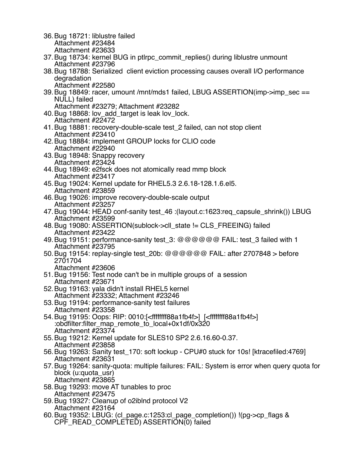| 36. Bug 18721: liblustre failed<br>Attachment #23484<br>Attachment #23633                                                                                                   |
|-----------------------------------------------------------------------------------------------------------------------------------------------------------------------------|
| 37. Bug 18734: kernel BUG in ptlrpc_commit_replies() during liblustre unmount<br>Attachment #23796                                                                          |
| 38. Bug 18788: Serialized client eviction processing causes overall I/O performance<br>degradation                                                                          |
| Attachment #22580<br>39. Bug 18849: racer, umount /mnt/mds1 failed, LBUG ASSERTION(imp->imp_sec ==<br>NULL) failed                                                          |
| Attachment #23279; Attachment #23282<br>40. Bug 18868: lov_add_target is leak lov_lock.<br>Attachment #22472                                                                |
| 41. Bug 18881: recovery-double-scale test_2 failed, can not stop client<br>Attachment #23410                                                                                |
| 42. Bug 18884: implement GROUP locks for CLIO code<br>Attachment #22940                                                                                                     |
| 43. Bug 18948: Snappy recovery<br>Attachment #23424                                                                                                                         |
| 44. Bug 18949: e2fsck does not atomically read mmp block<br>Attachment #23417                                                                                               |
| 45. Bug 19024: Kernel update for RHEL5.3 2.6.18-128.1.6.el5.<br>Attachment #23859                                                                                           |
| 46. Bug 19026: improve recovery-double-scale output<br>Attachment #23257                                                                                                    |
| 47. Bug 19044: HEAD conf-sanity test_46 :(layout.c:1623:req_capsule_shrink()) LBUG<br>Attachment #23599                                                                     |
| 48. Bug 19080: ASSERTION(sublock->cll_state != CLS_FREEING) failed<br>Attachment #23422                                                                                     |
| 49. Bug 19151: performance-sanity test_3: @@@@@@ FAIL: test_3 failed with 1<br>Attachment #23795                                                                            |
| 50. Bug 19154: replay-single test_20b: @@@@@@ FAIL: after 2707848 > before<br>2701704                                                                                       |
| Attachment #23606<br>51. Bug 19156: Test node can't be in multiple groups of a session<br>Attachment #23671                                                                 |
| 52. Bug 19163: yala didn't install RHEL5 kernel                                                                                                                             |
| Attachment #23332; Attachment #23246<br>53. Bug 19194: performance-sanity test failures<br>Attachment #23358                                                                |
| 54. Bug 19195: Oops: RIP: 0010: < fffffffff88a1fb4f> [ <fffffffff88a1fb4f>]<br/>:obdfilter:filter_map_remote_to_local+0x1df/0x320<br/>Attachment #23374</fffffffff88a1fb4f> |
| 55. Bug 19212: Kernel update for SLES10 SP2 2.6.16.60-0.37.<br>Attachment #23858                                                                                            |
| 56. Bug 19263: Sanity test_170: soft lockup - CPU#0 stuck for 10s! [ktracefiled:4769]<br>Attachment #23631                                                                  |
| 57. Bug 19264: sanity-quota: multiple failures: FAIL: System is error when query quota for<br>block (u:quota_usr)<br>Attachment #23865                                      |
| 58. Bug 19293: move AT tunables to proc<br>Attachment #23475                                                                                                                |
| 59. Bug 19327: Cleanup of o2iblnd protocol V2<br>Attachment #23164                                                                                                          |
| 60. Bug 19352: LBUG: (cl_page.c:1253:cl_page_completion()) !(pg->cp_flags &<br>CPF_READ_COMPLETED) ASSERTION(0) failed                                                      |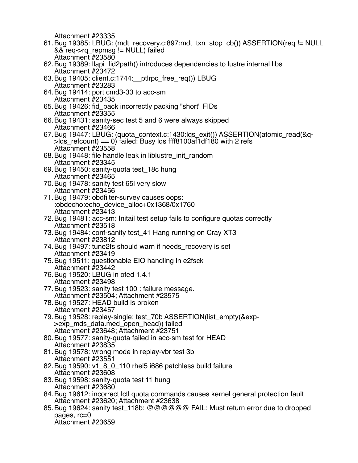Attachment #23335

- 61.Bug 19385: LBUG: (mdt\_recovery.c:897:mdt\_txn\_stop\_cb()) ASSERTION(req != NULL && req->rq\_repmsg != NULL) failed Attachment #23580
- 62.Bug 19389: llapi\_fid2path() introduces dependencies to lustre internal libs Attachment #23472
- 63.Bug 19405: client.c:1744:\_\_ptlrpc\_free\_req()) LBUG Attachment #23283
- 64.Bug 19414: port cmd3-33 to acc-sm Attachment #23435
- 65.Bug 19426: fid\_pack incorrectly packing "short" FIDs Attachment #23355
- 66.Bug 19431: sanity-sec test 5 and 6 were always skipped Attachment #23466
- 67.Bug 19447: LBUG: (quota\_context.c:1430:lqs\_exit()) ASSERTION(atomic\_read(&q-  $>$ lqs\_refcount) == 0) failed: Busy lqs ffff8100af1df180 with 2 refs Attachment #23558
- 68.Bug 19448: file handle leak in liblustre\_init\_random Attachment #23345
- 69.Bug 19450: sanity-quota test\_18c hung Attachment #23465
- 70.Bug 19478: sanity test 65l very slow Attachment #23456
- 71.Bug 19479: obdfilter-survey causes oops: :obdecho:echo\_device\_alloc+0x1368/0x1760 Attachment #23413
- 72.Bug 19481: acc-sm: Initail test setup fails to configure quotas correctly Attachment #23518
- 73.Bug 19484: conf-sanity test\_41 Hang running on Cray XT3 Attachment #23812
- 74.Bug 19497: tune2fs should warn if needs\_recovery is set Attachment #23419
- 75.Bug 19511: questionable EIO handling in e2fsck Attachment #23442
- 76.Bug 19520: LBUG in ofed 1.4.1 Attachment #23498
- 77.Bug 19523: sanity test 100 : failure message. Attachment #23504; Attachment #23575
- 78.Bug 19527: HEAD build is broken Attachment #23457
- 79.Bug 19528: replay-single: test\_70b ASSERTION(list\_empty(&exp- >exp\_mds\_data.med\_open\_head)) failed Attachment #23648; Attachment #23751
- 80.Bug 19577: sanity-quota failed in acc-sm test for HEAD Attachment #23835
- 81.Bug 19578: wrong mode in replay-vbr test 3b Attachment #23551
- 82.Bug 19590: v1\_8\_0\_110 rhel5 i686 patchless build failure Attachment #23608
- 83.Bug 19598: sanity-quota test 11 hung Attachment #23680
- 84.Bug 19612: incorrect lctl quota commands causes kernel general protection fault Attachment #23620; Attachment #23638
- 85.Bug 19624: sanity test\_118b: @@@@@@ FAIL: Must return error due to dropped pages, rc=0 Attachment #23659